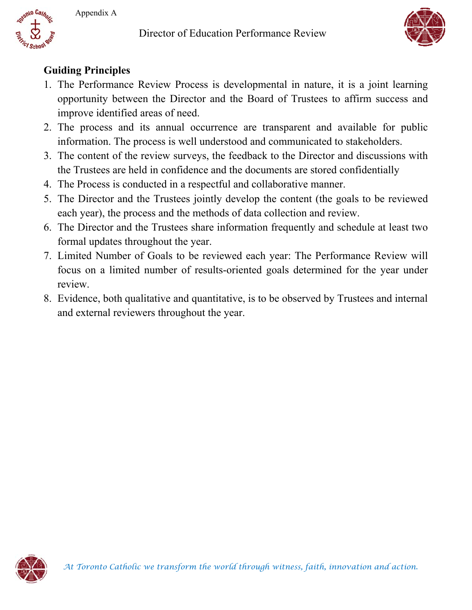Director of Education Performance Review





## **Guiding Principles**

- 1. The Performance Review Process is developmental in nature, it is a joint learning opportunity between the Director and the Board of Trustees to affirm success and improve identified areas of need.
- 2. The process and its annual occurrence are transparent and available for public information. The process is well understood and communicated to stakeholders.
- 3. The content of the review surveys, the feedback to the Director and discussions with the Trustees are held in confidence and the documents are stored confidentially
- 4. The Process is conducted in a respectful and collaborative manner.
- 5. The Director and the Trustees jointly develop the content (the goals to be reviewed each year), the process and the methods of data collection and review.
- 6. The Director and the Trustees share information frequently and schedule at least two formal updates throughout the year.
- 7. Limited Number of Goals to be reviewed each year: The Performance Review will focus on a limited number of results-oriented goals determined for the year under review.
- 8. Evidence, both qualitative and quantitative, is to be observed by Trustees and internal and external reviewers throughout the year.